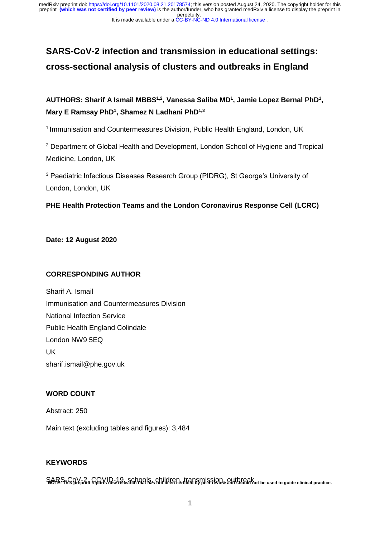perpetuity. preprint **(which was not certified by peer review)** is the author/funder, who has granted medRxiv a license to display the preprint in medRxiv preprint doi: [https://doi.org/10.1101/2020.08.21.20178574;](https://doi.org/10.1101/2020.08.21.20178574) this version posted August 24, 2020. The copyright holder for this

#### It is made available under a [CC-BY-NC-ND 4.0 International license](http://creativecommons.org/licenses/by-nc-nd/4.0/) .

# **SARS-CoV-2 infection and transmission in educational settings: cross-sectional analysis of clusters and outbreaks in England**

**AUTHORS: Sharif A Ismail MBBS1,2, Vanessa Saliba MD<sup>1</sup> , Jamie Lopez Bernal PhD<sup>1</sup> , Mary E Ramsay PhD<sup>1</sup> , Shamez N Ladhani PhD1,3**

<sup>1</sup> Immunisation and Countermeasures Division, Public Health England, London, UK

<sup>2</sup> Department of Global Health and Development, London School of Hygiene and Tropical Medicine, London, UK

<sup>3</sup> Paediatric Infectious Diseases Research Group (PIDRG), St George's University of London, London, UK

## **PHE Health Protection Teams and the London Coronavirus Response Cell (LCRC)**

## **Date: 12 August 2020**

## **CORRESPONDING AUTHOR**

Sharif A. Ismail Immunisation and Countermeasures Division National Infection Service Public Health England Colindale London NW9 5EQ UK sharif.ismail@phe.gov.uk

## **WORD COUNT**

Abstract: 250

Main text (excluding tables and figures): 3,484

## **KEYWORDS**

SARS-CoV-2, COVID-19, schools, children, transmission, outbreak **NOTE: This preprint reports new research that has not been certified by peer review and should not be used to guide clinical practice.**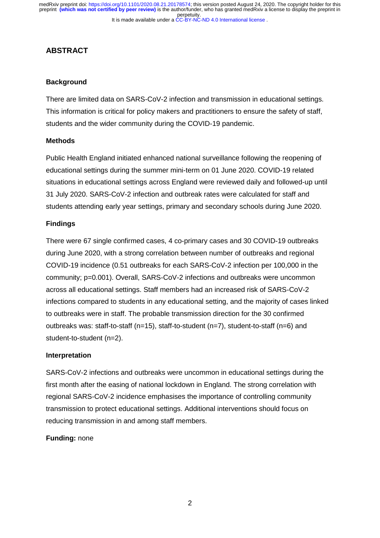## **ABSTRACT**

## **Background**

There are limited data on SARS-CoV-2 infection and transmission in educational settings. This information is critical for policy makers and practitioners to ensure the safety of staff, students and the wider community during the COVID-19 pandemic.

#### **Methods**

Public Health England initiated enhanced national surveillance following the reopening of educational settings during the summer mini-term on 01 June 2020. COVID-19 related situations in educational settings across England were reviewed daily and followed-up until 31 July 2020. SARS-CoV-2 infection and outbreak rates were calculated for staff and students attending early year settings, primary and secondary schools during June 2020.

#### **Findings**

There were 67 single confirmed cases, 4 co-primary cases and 30 COVID-19 outbreaks during June 2020, with a strong correlation between number of outbreaks and regional COVID-19 incidence (0.51 outbreaks for each SARS-CoV-2 infection per 100,000 in the community; p=0.001). Overall, SARS-CoV-2 infections and outbreaks were uncommon across all educational settings. Staff members had an increased risk of SARS-CoV-2 infections compared to students in any educational setting, and the majority of cases linked to outbreaks were in staff. The probable transmission direction for the 30 confirmed outbreaks was: staff-to-staff (n=15), staff-to-student (n=7), student-to-staff (n=6) and student-to-student (n=2).

## **Interpretation**

SARS-CoV-2 infections and outbreaks were uncommon in educational settings during the first month after the easing of national lockdown in England. The strong correlation with regional SARS-CoV-2 incidence emphasises the importance of controlling community transmission to protect educational settings. Additional interventions should focus on reducing transmission in and among staff members.

## **Funding:** none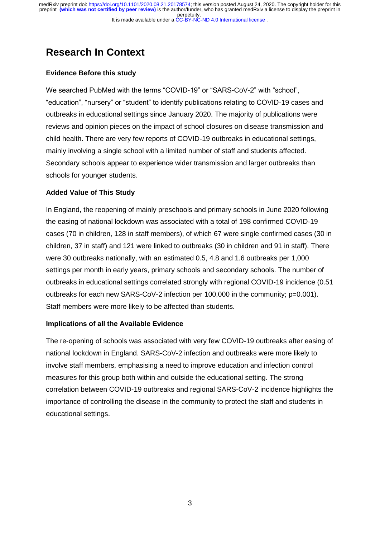# **Research In Context**

## **Evidence Before this study**

We searched PubMed with the terms "COVID-19" or "SARS-CoV-2" with "school", "education", "nursery" or "student" to identify publications relating to COVID-19 cases and outbreaks in educational settings since January 2020. The majority of publications were reviews and opinion pieces on the impact of school closures on disease transmission and child health. There are very few reports of COVID-19 outbreaks in educational settings, mainly involving a single school with a limited number of staff and students affected. Secondary schools appear to experience wider transmission and larger outbreaks than schools for younger students.

## **Added Value of This Study**

In England, the reopening of mainly preschools and primary schools in June 2020 following the easing of national lockdown was associated with a total of 198 confirmed COVID-19 cases (70 in children, 128 in staff members), of which 67 were single confirmed cases (30 in children, 37 in staff) and 121 were linked to outbreaks (30 in children and 91 in staff). There were 30 outbreaks nationally, with an estimated 0.5, 4.8 and 1.6 outbreaks per 1,000 settings per month in early years, primary schools and secondary schools. The number of outbreaks in educational settings correlated strongly with regional COVID-19 incidence (0.51 outbreaks for each new SARS-CoV-2 infection per 100,000 in the community; p=0.001). Staff members were more likely to be affected than students.

## **Implications of all the Available Evidence**

The re-opening of schools was associated with very few COVID-19 outbreaks after easing of national lockdown in England. SARS-CoV-2 infection and outbreaks were more likely to involve staff members, emphasising a need to improve education and infection control measures for this group both within and outside the educational setting. The strong correlation between COVID-19 outbreaks and regional SARS-CoV-2 incidence highlights the importance of controlling the disease in the community to protect the staff and students in educational settings.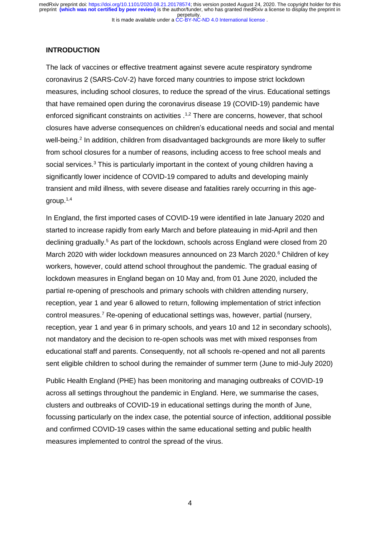It is made available under a [CC-BY-NC-ND 4.0 International license](http://creativecommons.org/licenses/by-nc-nd/4.0/) . perpetuity. medRxiv preprint doi: [https://doi.org/10.1101/2020.08.21.20178574;](https://doi.org/10.1101/2020.08.21.20178574) this version posted August 24, 2020. The copyright holder for this<br>preprint <mark>(which was not certified by peer review)</mark> is the author/funder, who has grant

#### **INTRODUCTION**

The lack of vaccines or effective treatment against severe acute respiratory syndrome coronavirus 2 (SARS-CoV-2) have forced many countries to impose strict lockdown measures, including school closures, to reduce the spread of the virus. Educational settings that have remained open during the coronavirus disease 19 (COVID-19) pandemic have enforced significant constraints on activities .<sup>1,2</sup> There are concerns, however, that school closures have adverse consequences on children's educational needs and social and mental well-being.<sup>2</sup> In addition, children from disadvantaged backgrounds are more likely to suffer from school closures for a number of reasons, including access to free school meals and social services.<sup>3</sup> This is particularly important in the context of young children having a significantly lower incidence of COVID-19 compared to adults and developing mainly transient and mild illness, with severe disease and fatalities rarely occurring in this agegroup. 1,4

In England, the first imported cases of COVID-19 were identified in late January 2020 and started to increase rapidly from early March and before plateauing in mid-April and then declining gradually. <sup>5</sup> As part of the lockdown, schools across England were closed from 20 March 2020 with wider lockdown measures announced on 23 March 2020.<sup>6</sup> Children of key workers, however, could attend school throughout the pandemic. The gradual easing of lockdown measures in England began on 10 May and, from 01 June 2020, included the partial re-opening of preschools and primary schools with children attending nursery, reception, year 1 and year 6 allowed to return, following implementation of strict infection control measures.<sup>7</sup> Re-opening of educational settings was, however, partial (nursery, reception, year 1 and year 6 in primary schools, and years 10 and 12 in secondary schools), not mandatory and the decision to re-open schools was met with mixed responses from educational staff and parents. Consequently, not all schools re-opened and not all parents sent eligible children to school during the remainder of summer term (June to mid-July 2020)

Public Health England (PHE) has been monitoring and managing outbreaks of COVID-19 across all settings throughout the pandemic in England. Here, we summarise the cases, clusters and outbreaks of COVID-19 in educational settings during the month of June, focussing particularly on the index case, the potential source of infection, additional possible and confirmed COVID-19 cases within the same educational setting and public health measures implemented to control the spread of the virus.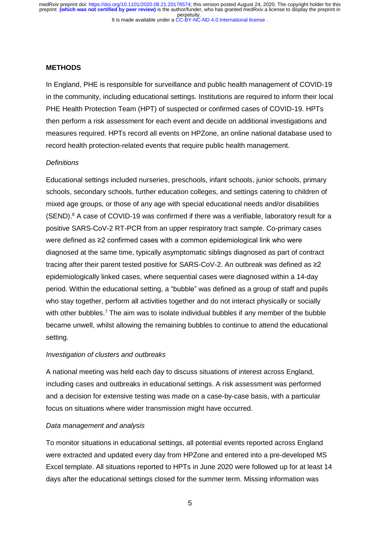## **METHODS**

In England, PHE is responsible for surveillance and public health management of COVID-19 in the community, including educational settings. Institutions are required to inform their local PHE Health Protection Team (HPT) of suspected or confirmed cases of COVID-19. HPTs then perform a risk assessment for each event and decide on additional investigations and measures required. HPTs record all events on HPZone, an online national database used to record health protection-related events that require public health management.

## *Definitions*

Educational settings included nurseries, preschools, infant schools, junior schools, primary schools, secondary schools, further education colleges, and settings catering to children of mixed age groups, or those of any age with special educational needs and/or disabilities (SEND). <sup>8</sup> A case of COVID-19 was confirmed if there was a verifiable, laboratory result for a positive SARS-CoV-2 RT-PCR from an upper respiratory tract sample. Co-primary cases were defined as ≥2 confirmed cases with a common epidemiological link who were diagnosed at the same time, typically asymptomatic siblings diagnosed as part of contract tracing after their parent tested positive for SARS-CoV-2. An outbreak was defined as ≥2 epidemiologically linked cases, where sequential cases were diagnosed within a 14-day period. Within the educational setting, a "bubble" was defined as a group of staff and pupils who stay together, perform all activities together and do not interact physically or socially with other bubbles.<sup>7</sup> The aim was to isolate individual bubbles if any member of the bubble became unwell, whilst allowing the remaining bubbles to continue to attend the educational setting.

#### *Investigation of clusters and outbreaks*

A national meeting was held each day to discuss situations of interest across England, including cases and outbreaks in educational settings. A risk assessment was performed and a decision for extensive testing was made on a case-by-case basis, with a particular focus on situations where wider transmission might have occurred.

## *Data management and analysis*

To monitor situations in educational settings, all potential events reported across England were extracted and updated every day from HPZone and entered into a pre-developed MS Excel template. All situations reported to HPTs in June 2020 were followed up for at least 14 days after the educational settings closed for the summer term. Missing information was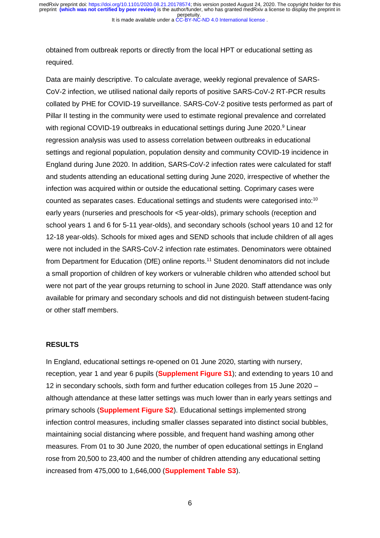obtained from outbreak reports or directly from the local HPT or educational setting as required.

Data are mainly descriptive. To calculate average, weekly regional prevalence of SARS-CoV-2 infection, we utilised national daily reports of positive SARS-CoV-2 RT-PCR results collated by PHE for COVID-19 surveillance. SARS-CoV-2 positive tests performed as part of Pillar II testing in the community were used to estimate regional prevalence and correlated with regional COVID-19 outbreaks in educational settings during June 2020.<sup>9</sup> Linear regression analysis was used to assess correlation between outbreaks in educational settings and regional population, population density and community COVID-19 incidence in England during June 2020. In addition, SARS-CoV-2 infection rates were calculated for staff and students attending an educational setting during June 2020, irrespective of whether the infection was acquired within or outside the educational setting. Coprimary cases were counted as separates cases. Educational settings and students were categorised into:<sup>10</sup> early years (nurseries and preschools for <5 year-olds), primary schools (reception and school years 1 and 6 for 5-11 year-olds), and secondary schools (school years 10 and 12 for 12-18 year-olds). Schools for mixed ages and SEND schools that include children of all ages were not included in the SARS-CoV-2 infection rate estimates. Denominators were obtained from Department for Education (DfE) online reports. <sup>11</sup> Student denominators did not include a small proportion of children of key workers or vulnerable children who attended school but were not part of the year groups returning to school in June 2020. Staff attendance was only available for primary and secondary schools and did not distinguish between student-facing or other staff members.

#### **RESULTS**

In England, educational settings re-opened on 01 June 2020, starting with nursery, reception, year 1 and year 6 pupils (**Supplement Figure S1**); and extending to years 10 and 12 in secondary schools, sixth form and further education colleges from 15 June 2020 – although attendance at these latter settings was much lower than in early years settings and primary schools (**Supplement Figure S2**). Educational settings implemented strong infection control measures, including smaller classes separated into distinct social bubbles, maintaining social distancing where possible, and frequent hand washing among other measures. From 01 to 30 June 2020, the number of open educational settings in England rose from 20,500 to 23,400 and the number of children attending any educational setting increased from 475,000 to 1,646,000 (**Supplement Table S3**).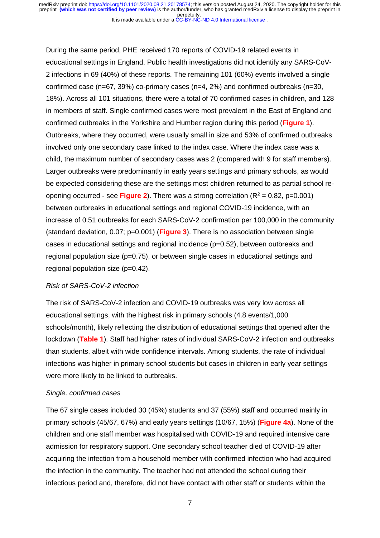During the same period, PHE received 170 reports of COVID-19 related events in educational settings in England. Public health investigations did not identify any SARS-CoV-2 infections in 69 (40%) of these reports. The remaining 101 (60%) events involved a single confirmed case (n=67, 39%) co-primary cases (n=4, 2%) and confirmed outbreaks (n=30, 18%). Across all 101 situations, there were a total of 70 confirmed cases in children, and 128 in members of staff. Single confirmed cases were most prevalent in the East of England and confirmed outbreaks in the Yorkshire and Humber region during this period (**Figure 1**). Outbreaks, where they occurred, were usually small in size and 53% of confirmed outbreaks involved only one secondary case linked to the index case. Where the index case was a child, the maximum number of secondary cases was 2 (compared with 9 for staff members). Larger outbreaks were predominantly in early years settings and primary schools, as would be expected considering these are the settings most children returned to as partial school reopening occurred - see **Figure 2**). There was a strong correlation  $(R^2 = 0.82, p=0.001)$ between outbreaks in educational settings and regional COVID-19 incidence, with an increase of 0.51 outbreaks for each SARS-CoV-2 confirmation per 100,000 in the community (standard deviation, 0.07; p=0.001) (**Figure 3**). There is no association between single cases in educational settings and regional incidence  $(p=0.52)$ , between outbreaks and regional population size (p=0.75), or between single cases in educational settings and regional population size (p=0.42).

#### *Risk of SARS-CoV-2 infection*

The risk of SARS-CoV-2 infection and COVID-19 outbreaks was very low across all educational settings, with the highest risk in primary schools (4.8 events/1,000 schools/month), likely reflecting the distribution of educational settings that opened after the lockdown (**Table 1**). Staff had higher rates of individual SARS-CoV-2 infection and outbreaks than students, albeit with wide confidence intervals. Among students, the rate of individual infections was higher in primary school students but cases in children in early year settings were more likely to be linked to outbreaks.

#### *Single, confirmed cases*

The 67 single cases included 30 (45%) students and 37 (55%) staff and occurred mainly in primary schools (45/67, 67%) and early years settings (10/67, 15%) (**Figure 4a**). None of the children and one staff member was hospitalised with COVID-19 and required intensive care admission for respiratory support. One secondary school teacher died of COVID-19 after acquiring the infection from a household member with confirmed infection who had acquired the infection in the community. The teacher had not attended the school during their infectious period and, therefore, did not have contact with other staff or students within the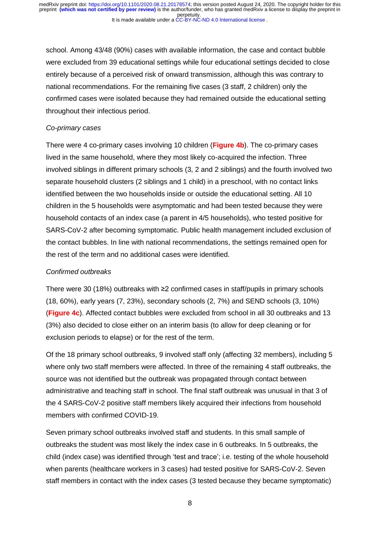school. Among 43/48 (90%) cases with available information, the case and contact bubble were excluded from 39 educational settings while four educational settings decided to close entirely because of a perceived risk of onward transmission, although this was contrary to national recommendations. For the remaining five cases (3 staff, 2 children) only the confirmed cases were isolated because they had remained outside the educational setting throughout their infectious period.

#### *Co-primary cases*

There were 4 co-primary cases involving 10 children (**Figure 4b**). The co-primary cases lived in the same household, where they most likely co-acquired the infection. Three involved siblings in different primary schools (3, 2 and 2 siblings) and the fourth involved two separate household clusters (2 siblings and 1 child) in a preschool, with no contact links identified between the two households inside or outside the educational setting. All 10 children in the 5 households were asymptomatic and had been tested because they were household contacts of an index case (a parent in 4/5 households), who tested positive for SARS-CoV-2 after becoming symptomatic. Public health management included exclusion of the contact bubbles. In line with national recommendations, the settings remained open for the rest of the term and no additional cases were identified.

#### *Confirmed outbreaks*

There were 30 (18%) outbreaks with ≥2 confirmed cases in staff/pupils in primary schools (18, 60%), early years (7, 23%), secondary schools (2, 7%) and SEND schools (3, 10%) (**Figure 4c**). Affected contact bubbles were excluded from school in all 30 outbreaks and 13 (3%) also decided to close either on an interim basis (to allow for deep cleaning or for exclusion periods to elapse) or for the rest of the term.

Of the 18 primary school outbreaks, 9 involved staff only (affecting 32 members), including 5 where only two staff members were affected. In three of the remaining 4 staff outbreaks, the source was not identified but the outbreak was propagated through contact between administrative and teaching staff in school. The final staff outbreak was unusual in that 3 of the 4 SARS-CoV-2 positive staff members likely acquired their infections from household members with confirmed COVID-19.

Seven primary school outbreaks involved staff and students. In this small sample of outbreaks the student was most likely the index case in 6 outbreaks. In 5 outbreaks, the child (index case) was identified through 'test and trace'; i.e. testing of the whole household when parents (healthcare workers in 3 cases) had tested positive for SARS-CoV-2. Seven staff members in contact with the index cases (3 tested because they became symptomatic)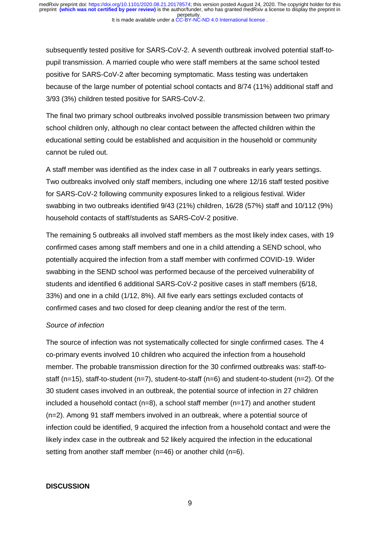subsequently tested positive for SARS-CoV-2. A seventh outbreak involved potential staff-topupil transmission. A married couple who were staff members at the same school tested positive for SARS-CoV-2 after becoming symptomatic. Mass testing was undertaken because of the large number of potential school contacts and 8/74 (11%) additional staff and 3/93 (3%) children tested positive for SARS-CoV-2.

The final two primary school outbreaks involved possible transmission between two primary school children only, although no clear contact between the affected children within the educational setting could be established and acquisition in the household or community cannot be ruled out.

A staff member was identified as the index case in all 7 outbreaks in early years settings. Two outbreaks involved only staff members, including one where 12/16 staff tested positive for SARS-CoV-2 following community exposures linked to a religious festival. Wider swabbing in two outbreaks identified 9/43 (21%) children, 16/28 (57%) staff and 10/112 (9%) household contacts of staff/students as SARS-CoV-2 positive.

The remaining 5 outbreaks all involved staff members as the most likely index cases, with 19 confirmed cases among staff members and one in a child attending a SEND school, who potentially acquired the infection from a staff member with confirmed COVID-19. Wider swabbing in the SEND school was performed because of the perceived vulnerability of students and identified 6 additional SARS-CoV-2 positive cases in staff members (6/18, 33%) and one in a child (1/12, 8%). All five early ears settings excluded contacts of confirmed cases and two closed for deep cleaning and/or the rest of the term.

#### *Source of infection*

The source of infection was not systematically collected for single confirmed cases. The 4 co-primary events involved 10 children who acquired the infection from a household member. The probable transmission direction for the 30 confirmed outbreaks was: staff-tostaff (n=15), staff-to-student (n=7), student-to-staff (n=6) and student-to-student (n=2). Of the 30 student cases involved in an outbreak, the potential source of infection in 27 children included a household contact  $(n=8)$ , a school staff member  $(n=17)$  and another student (n=2). Among 91 staff members involved in an outbreak, where a potential source of infection could be identified, 9 acquired the infection from a household contact and were the likely index case in the outbreak and 52 likely acquired the infection in the educational setting from another staff member (n=46) or another child (n=6).

#### **DISCUSSION**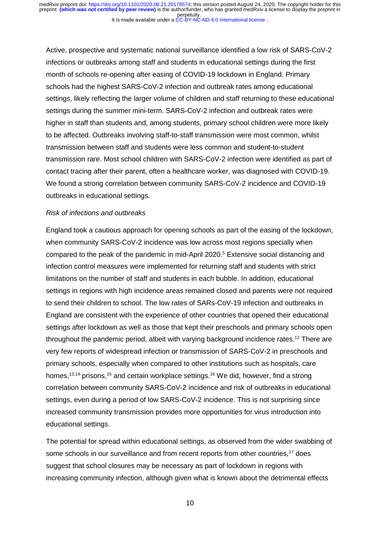Active, prospective and systematic national surveillance identified a low risk of SARS-CoV-2 infections or outbreaks among staff and students in educational settings during the first month of schools re-opening after easing of COVID-19 lockdown in England. Primary schools had the highest SARS-CoV-2 infection and outbreak rates among educational settings, likely reflecting the larger volume of children and staff returning to these educational settings during the summer mini-term. SARS-CoV-2 infection and outbreak rates were higher in staff than students and, among students, primary school children were more likely to be affected. Outbreaks involving staff-to-staff transmission were most common, whilst transmission between staff and students were less common and student-to-student transmission rare. Most school children with SARS-CoV-2 infection were identified as part of contact tracing after their parent, often a healthcare worker, was diagnosed with COVID-19. We found a strong correlation between community SARS-CoV-2 incidence and COVID-19 outbreaks in educational settings.

#### *Risk of infections and outbreaks*

England took a cautious approach for opening schools as part of the easing of the lockdown, when community SARS-CoV-2 incidence was low across most regions specially when compared to the peak of the pandemic in mid-April 2020.<sup>5</sup> Extensive social distancing and infection control measures were implemented for returning staff and students with strict limitations on the number of staff and students in each bubble. In addition, educational settings in regions with high incidence areas remained closed and parents were not required to send their children to school. The low rates of SARs-CoV-19 infection and outbreaks in England are consistent with the experience of other countries that opened their educational settings after lockdown as well as those that kept their preschools and primary schools open throughout the pandemic period, albeit with varying background incidence rates. <sup>12</sup> There are very few reports of widespread infection or transmission of SARS-CoV-2 in preschools and primary schools, especially when compared to other institutions such as hospitals, care homes,<sup>13,14</sup> prisons,<sup>15</sup> and certain workplace settings.<sup>16</sup> We did, however, find a strong correlation between community SARS-CoV-2 incidence and risk of outbreaks in educational settings, even during a period of low SARS-CoV-2 incidence. This is not surprising since increased community transmission provides more opportunities for virus introduction into educational settings.

The potential for spread within educational settings, as observed from the wider swabbing of some schools in our surveillance and from recent reports from other countries,<sup>17</sup> does suggest that school closures may be necessary as part of lockdown in regions with increasing community infection, although given what is known about the detrimental effects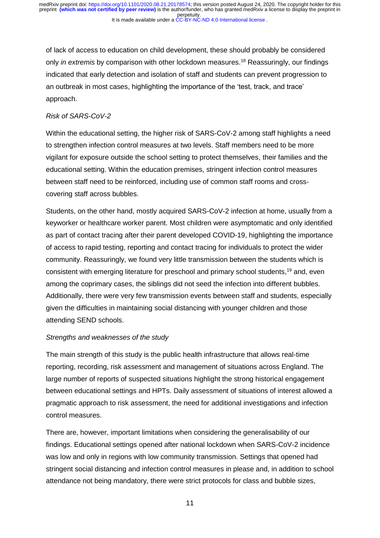of lack of access to education on child development, these should probably be considered only *in extremis* by comparison with other lockdown measures. <sup>18</sup> Reassuringly, our findings indicated that early detection and isolation of staff and students can prevent progression to an outbreak in most cases, highlighting the importance of the 'test, track, and trace' approach.

## *Risk of SARS-CoV-2*

Within the educational setting, the higher risk of SARS-CoV-2 among staff highlights a need to strengthen infection control measures at two levels. Staff members need to be more vigilant for exposure outside the school setting to protect themselves, their families and the educational setting. Within the education premises, stringent infection control measures between staff need to be reinforced, including use of common staff rooms and crosscovering staff across bubbles.

Students, on the other hand, mostly acquired SARS-CoV-2 infection at home, usually from a keyworker or healthcare worker parent. Most children were asymptomatic and only identified as part of contact tracing after their parent developed COVID-19, highlighting the importance of access to rapid testing, reporting and contact tracing for individuals to protect the wider community. Reassuringly, we found very little transmission between the students which is consistent with emerging literature for preschool and primary school students, <sup>19</sup> and, even among the coprimary cases, the siblings did not seed the infection into different bubbles. Additionally, there were very few transmission events between staff and students, especially given the difficulties in maintaining social distancing with younger children and those attending SEND schools.

## *Strengths and weaknesses of the study*

The main strength of this study is the public health infrastructure that allows real-time reporting, recording, risk assessment and management of situations across England. The large number of reports of suspected situations highlight the strong historical engagement between educational settings and HPTs. Daily assessment of situations of interest allowed a pragmatic approach to risk assessment, the need for additional investigations and infection control measures.

There are, however, important limitations when considering the generalisability of our findings. Educational settings opened after national lockdown when SARS-CoV-2 incidence was low and only in regions with low community transmission. Settings that opened had stringent social distancing and infection control measures in please and, in addition to school attendance not being mandatory, there were strict protocols for class and bubble sizes,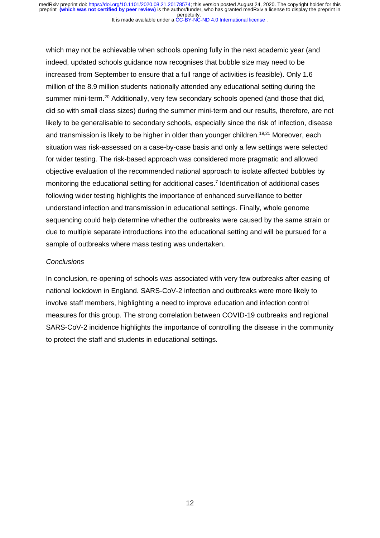which may not be achievable when schools opening fully in the next academic year (and indeed, updated schools guidance now recognises that bubble size may need to be increased from September to ensure that a full range of activities is feasible). Only 1.6 million of the 8.9 million students nationally attended any educational setting during the summer mini-term.<sup>20</sup> Additionally, very few secondary schools opened (and those that did, did so with small class sizes) during the summer mini-term and our results, therefore, are not likely to be generalisable to secondary schools, especially since the risk of infection, disease and transmission is likely to be higher in older than younger children.<sup>19,21</sup> Moreover, each situation was risk-assessed on a case-by-case basis and only a few settings were selected for wider testing. The risk-based approach was considered more pragmatic and allowed objective evaluation of the recommended national approach to isolate affected bubbles by monitoring the educational setting for additional cases. 7 Identification of additional cases following wider testing highlights the importance of enhanced surveillance to better understand infection and transmission in educational settings. Finally, whole genome sequencing could help determine whether the outbreaks were caused by the same strain or due to multiple separate introductions into the educational setting and will be pursued for a sample of outbreaks where mass testing was undertaken.

#### *Conclusions*

In conclusion, re-opening of schools was associated with very few outbreaks after easing of national lockdown in England. SARS-CoV-2 infection and outbreaks were more likely to involve staff members, highlighting a need to improve education and infection control measures for this group. The strong correlation between COVID-19 outbreaks and regional SARS-CoV-2 incidence highlights the importance of controlling the disease in the community to protect the staff and students in educational settings.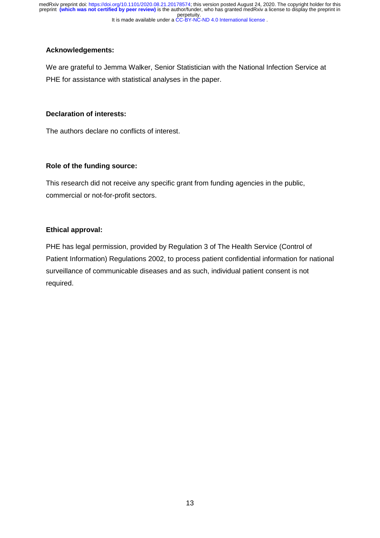It is made available under a [CC-BY-NC-ND 4.0 International license](http://creativecommons.org/licenses/by-nc-nd/4.0/) . perpetuity. medRxiv preprint doi: [https://doi.org/10.1101/2020.08.21.20178574;](https://doi.org/10.1101/2020.08.21.20178574) this version posted August 24, 2020. The copyright holder for this<br>preprint <mark>(which was not certified by peer review)</mark> is the author/funder, who has grant

## **Acknowledgements:**

We are grateful to Jemma Walker, Senior Statistician with the National Infection Service at PHE for assistance with statistical analyses in the paper.

#### **Declaration of interests:**

The authors declare no conflicts of interest.

## **Role of the funding source:**

This research did not receive any specific grant from funding agencies in the public, commercial or not-for-profit sectors.

## **Ethical approval:**

PHE has legal permission, provided by Regulation 3 of The Health Service (Control of Patient Information) Regulations 2002, to process patient confidential information for national surveillance of communicable diseases and as such, individual patient consent is not required.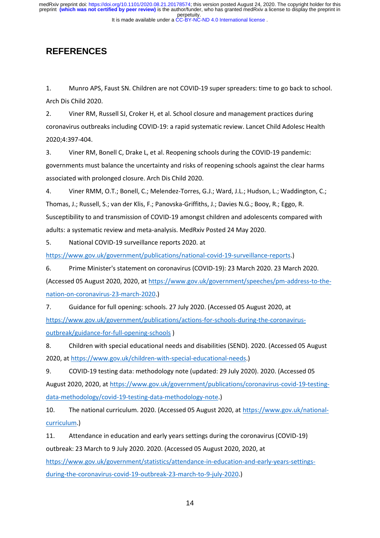## **REFERENCES**

1. Munro APS, Faust SN. Children are not COVID-19 super spreaders: time to go back to school. Arch Dis Child 2020.

2. Viner RM, Russell SJ, Croker H, et al. School closure and management practices during coronavirus outbreaks including COVID-19: a rapid systematic review. Lancet Child Adolesc Health 2020;4:397-404.

3. Viner RM, Bonell C, Drake L, et al. Reopening schools during the COVID-19 pandemic: governments must balance the uncertainty and risks of reopening schools against the clear harms associated with prolonged closure. Arch Dis Child 2020.

4. Viner RMM, O.T.; Bonell, C.; Melendez-Torres, G.J.; Ward, J.L.; Hudson, L.; Waddington, C.; Thomas, J.; Russell, S.; van der Klis, F.; Panovska-Griffiths, J.; Davies N.G.; Booy, R.; Eggo, R. Susceptibility to and transmission of COVID-19 amongst children and adolescents compared with adults: a systematic review and meta-analysis. MedRxiv Posted 24 May 2020.

5. National COVID-19 surveillance reports 2020. at

[https://www.gov.uk/government/publications/national-covid-19-surveillance-reports.](https://www.gov.uk/government/publications/national-covid-19-surveillance-reports))

6. Prime Minister's statement on coronavirus (COVID-19): 23 March 2020. 23 March 2020.

(Accessed 05 August 2020, 2020, a[t https://www.gov.uk/government/speeches/pm-address-to-the](https://www.gov.uk/government/speeches/pm-address-to-the-nation-on-coronavirus-23-march-2020)[nation-on-coronavirus-23-march-2020.](https://www.gov.uk/government/speeches/pm-address-to-the-nation-on-coronavirus-23-march-2020))

7. Guidance for full opening: schools. 27 July 2020. (Accessed 05 August 2020, at [https://www.gov.uk/government/publications/actions-for-schools-during-the-coronavirus](https://www.gov.uk/government/publications/actions-for-schools-during-the-coronavirus-outbreak/guidance-for-full-opening-schools)[outbreak/guidance-for-full-opening-schools](https://www.gov.uk/government/publications/actions-for-schools-during-the-coronavirus-outbreak/guidance-for-full-opening-schools) )

8. Children with special educational needs and disabilities (SEND). 2020. (Accessed 05 August 2020, at [https://www.gov.uk/children-with-special-educational-needs.](https://www.gov.uk/children-with-special-educational-needs))

9. COVID-19 testing data: methodology note (updated: 29 July 2020). 2020. (Accessed 05 August 2020, 2020, at [https://www.gov.uk/government/publications/coronavirus-covid-19-testing](https://www.gov.uk/government/publications/coronavirus-covid-19-testing-data-methodology/covid-19-testing-data-methodology-note)[data-methodology/covid-19-testing-data-methodology-note.](https://www.gov.uk/government/publications/coronavirus-covid-19-testing-data-methodology/covid-19-testing-data-methodology-note))

10. The national curriculum. 2020. (Accessed 05 August 2020, at [https://www.gov.uk/national](https://www.gov.uk/national-curriculum)[curriculum.](https://www.gov.uk/national-curriculum))

11. Attendance in education and early years settings during the coronavirus (COVID-19) outbreak: 23 March to 9 July 2020. 2020. (Accessed 05 August 2020, 2020, at [https://www.gov.uk/government/statistics/attendance-in-education-and-early-years-settings](https://www.gov.uk/government/statistics/attendance-in-education-and-early-years-settings-during-the-coronavirus-covid-19-outbreak-23-march-to-9-july-2020)[during-the-coronavirus-covid-19-outbreak-23-march-to-9-july-2020.](https://www.gov.uk/government/statistics/attendance-in-education-and-early-years-settings-during-the-coronavirus-covid-19-outbreak-23-march-to-9-july-2020))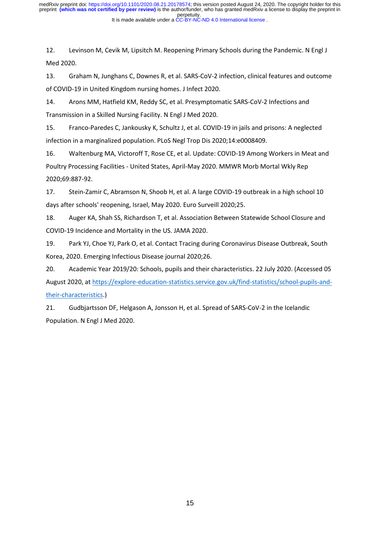12. Levinson M, Cevik M, Lipsitch M. Reopening Primary Schools during the Pandemic. N Engl J Med 2020.

13. Graham N, Junghans C, Downes R, et al. SARS-CoV-2 infection, clinical features and outcome of COVID-19 in United Kingdom nursing homes. J Infect 2020.

14. Arons MM, Hatfield KM, Reddy SC, et al. Presymptomatic SARS-CoV-2 Infections and Transmission in a Skilled Nursing Facility. N Engl J Med 2020.

15. Franco-Paredes C, Jankousky K, Schultz J, et al. COVID-19 in jails and prisons: A neglected infection in a marginalized population. PLoS Negl Trop Dis 2020;14:e0008409.

16. Waltenburg MA, Victoroff T, Rose CE, et al. Update: COVID-19 Among Workers in Meat and Poultry Processing Facilities - United States, April-May 2020. MMWR Morb Mortal Wkly Rep 2020;69:887-92.

17. Stein-Zamir C, Abramson N, Shoob H, et al. A large COVID-19 outbreak in a high school 10 days after schools' reopening, Israel, May 2020. Euro Surveill 2020;25.

18. Auger KA, Shah SS, Richardson T, et al. Association Between Statewide School Closure and COVID-19 Incidence and Mortality in the US. JAMA 2020.

19. Park YJ, Choe YJ, Park O, et al. Contact Tracing during Coronavirus Disease Outbreak, South Korea, 2020. Emerging Infectious Disease journal 2020;26.

20. Academic Year 2019/20: Schools, pupils and their characteristics. 22 July 2020. (Accessed 05 August 2020, a[t https://explore-education-statistics.service.gov.uk/find-statistics/school-pupils-and](https://explore-education-statistics.service.gov.uk/find-statistics/school-pupils-and-their-characteristics)[their-characteristics.](https://explore-education-statistics.service.gov.uk/find-statistics/school-pupils-and-their-characteristics))

21. Gudbjartsson DF, Helgason A, Jonsson H, et al. Spread of SARS-CoV-2 in the Icelandic Population. N Engl J Med 2020.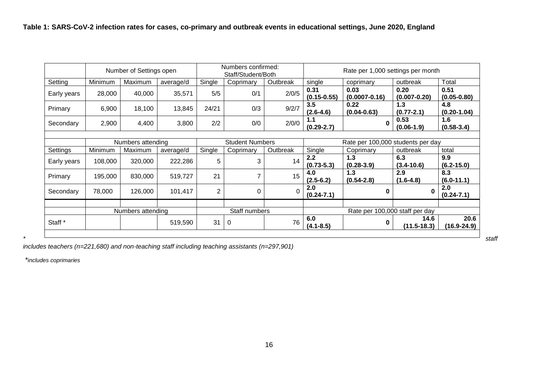|                    | Number of Settings open |         |           | Numbers confirmed:<br>Staff/Student/Both |                        |          | Rate per 1,000 settings per month |                           |                          |                         |  |
|--------------------|-------------------------|---------|-----------|------------------------------------------|------------------------|----------|-----------------------------------|---------------------------|--------------------------|-------------------------|--|
| Setting            | Minimum                 | Maximum | average/d | Single                                   | Coprimary              | Outbreak | single                            | coprimary                 | outbreak                 | Total                   |  |
| Early years        | 28,000                  | 40,000  | 35,571    | 5/5                                      | 0/1                    | 2/0/5    | 0.31<br>$(0.15 - 0.55)$           | 0.03<br>$(0.0007 - 0.16)$ | 0.20<br>$(0.007 - 0.20)$ | 0.51<br>$(0.05 - 0.80)$ |  |
| Primary            | 6,900                   | 18,100  | 13,845    | 24/21                                    | 0/3                    | 9/2/7    | 3.5<br>$(2.6 - 4.6)$              | 0.22<br>$(0.04 - 0.63)$   |                          | 4.8<br>$(0.20 - 1.04)$  |  |
| Secondary          | 2,900                   | 4,400   | 3,800     | 2/2                                      | 0/0                    | 2/0/0    | 1.1<br>$(0.29 - 2.7)$             | $\mathbf{0}$              | 0.53<br>$(0.06-1.9)$     | 1.6<br>$(0.58 - 3.4)$   |  |
| Numbers attending  |                         |         |           |                                          | <b>Student Numbers</b> |          | Rate per 100,000 students per day |                           |                          |                         |  |
| Settings           | Minimum                 | Maximum | average/d | Single                                   | Coprimary              | Outbreak | Single                            | Coprimary                 | outbreak                 | total                   |  |
| Early years        | 108,000                 | 320,000 | 222,286   | 5                                        | 3                      | 14       | 2.2<br>$(0.73 - 5.3)$             | 1.3<br>$(0.28 - 3.9)$     | 6.3<br>$(3.4 - 10.6)$    | 9.9<br>$(6.2 - 15.0)$   |  |
| Primary            | 195,000                 | 830,000 | 519,727   | 21                                       | 7                      | 15       | 4.0<br>$(2.5 - 6.2)$              | 1.3<br>$(0.54 - 2.8)$     | 2.9<br>$(1.6 - 4.8)$     | 8.3<br>$(6.0-11.1)$     |  |
| Secondary          | 78,000                  | 126,000 | 101,417   | $\overline{2}$                           | 0                      | 0        | 2.0<br>$(0.24 - 7.1)$             | $\bf{0}$                  | 0                        | 2.0<br>$(0.24 - 7.1)$   |  |
|                    | Numbers attending       |         |           | Staff numbers                            |                        |          | Rate per 100,000 staff per day    |                           |                          |                         |  |
| Staff <sup>*</sup> |                         |         | 519,590   | 31                                       | 0                      | 76       | 6.0<br>$(4.1 - 8.5)$              | $\bf{0}$                  | 14.6<br>$(11.5 - 18.3)$  | 20.6<br>$(16.9 - 24.9)$ |  |

*includes teachers (n=221,680) and non-teaching staff including teaching assistants (n=297,901)* 

*\*includes coprimaries*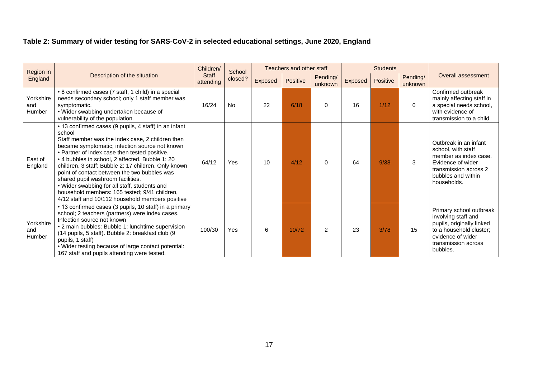## **Table 2: Summary of wider testing for SARS-CoV-2 in selected educational settings, June 2020, England**

| Region in                  |                                                                                                                                                                                                                                                                                                                                                                                                                                                                                                                                                                             | Children/<br><b>Staff</b><br>attending | School<br>closed? | Teachers and other staff |          |                     | <b>Students</b> |          |                     |                                                                                                                                                                |
|----------------------------|-----------------------------------------------------------------------------------------------------------------------------------------------------------------------------------------------------------------------------------------------------------------------------------------------------------------------------------------------------------------------------------------------------------------------------------------------------------------------------------------------------------------------------------------------------------------------------|----------------------------------------|-------------------|--------------------------|----------|---------------------|-----------------|----------|---------------------|----------------------------------------------------------------------------------------------------------------------------------------------------------------|
| England                    | Description of the situation                                                                                                                                                                                                                                                                                                                                                                                                                                                                                                                                                |                                        |                   | Exposed                  | Positive | Pending/<br>unknown | Exposed         | Positive | Pending/<br>unknown | Overall assessment                                                                                                                                             |
| Yorkshire<br>and<br>Humber | • 8 confirmed cases (7 staff, 1 child) in a special<br>needs secondary school; only 1 staff member was<br>symptomatic.<br>• Wider swabbing undertaken because of<br>vulnerability of the population.                                                                                                                                                                                                                                                                                                                                                                        | 16/24                                  | <b>No</b>         | 22                       | 6/18     | $\Omega$            | 16              | 1/12     | $\mathbf{0}$        | Confirmed outbreak<br>mainly affecting staff in<br>a special needs school,<br>with evidence of<br>transmission to a child.                                     |
| East of<br>England         | • 13 confirmed cases (9 pupils, 4 staff) in an infant<br>school<br>Staff member was the index case, 2 children then<br>became symptomatic; infection source not known<br>• Partner of index case then tested positive.<br>• 4 bubbles in school, 2 affected. Bubble 1: 20<br>children, 3 staff; Bubble 2: 17 children. Only known<br>point of contact between the two bubbles was<br>shared pupil washroom facilities.<br>• Wider swabbing for all staff, students and<br>household members: 165 tested; 9/41 children,<br>4/12 staff and 10/112 household members positive | 64/12                                  | Yes               | 10                       | 4/12     | $\Omega$            | 64              | 9/38     | 3                   | Outbreak in an infant<br>school, with staff<br>member as index case.<br>Evidence of wider<br>transmission across 2<br>bubbles and within<br>households.        |
| Yorkshire<br>and<br>Humber | • 13 confirmed cases (3 pupils, 10 staff) in a primary<br>school; 2 teachers (partners) were index cases.<br>Infection source not known<br>• 2 main bubbles: Bubble 1: lunchtime supervision<br>(14 pupils, 5 staff). Bubble 2: breakfast club (9<br>pupils, 1 staff)<br>. Wider testing because of large contact potential:<br>167 staff and pupils attending were tested.                                                                                                                                                                                                 | 100/30                                 | Yes               | 6                        | 10/72    | $\mathcal{P}$       | 23              | 3/78     | 15                  | Primary school outbreak<br>involving staff and<br>pupils, originally linked<br>to a household cluster;<br>evidence of wider<br>transmission across<br>bubbles. |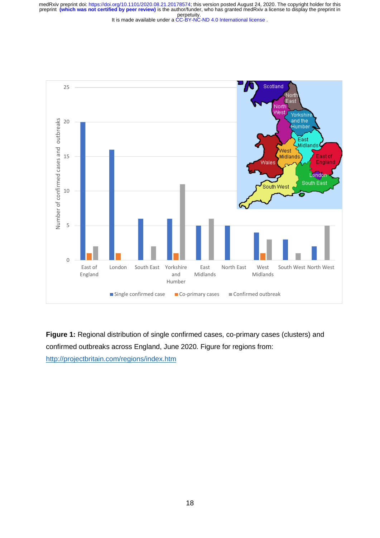It is made available under a [CC-BY-NC-ND 4.0 International license](http://creativecommons.org/licenses/by-nc-nd/4.0/) . perpetuity. medRxiv preprint doi: [https://doi.org/10.1101/2020.08.21.20178574;](https://doi.org/10.1101/2020.08.21.20178574) this version posted August 24, 2020. The copyright holder for this<br>preprint <mark>(which was not certified by peer review)</mark> is the author/funder, who has grant



**Figure 1:** Regional distribution of single confirmed cases, co-primary cases (clusters) and confirmed outbreaks across England, June 2020. Figure for regions from:

<http://projectbritain.com/regions/index.htm>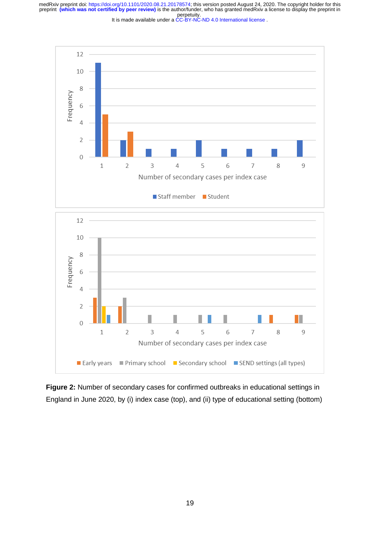It is made available under a [CC-BY-NC-ND 4.0 International license](http://creativecommons.org/licenses/by-nc-nd/4.0/) .



**Figure 2:** Number of secondary cases for confirmed outbreaks in educational settings in England in June 2020, by (i) index case (top), and (ii) type of educational setting (bottom)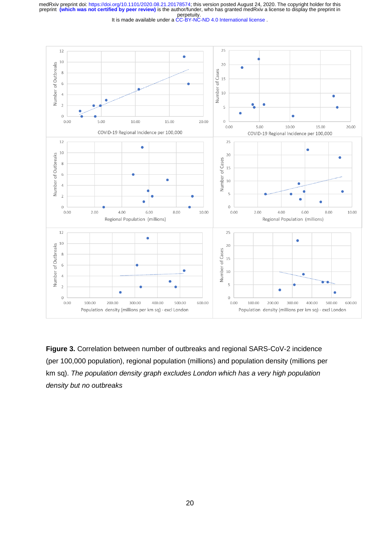It is made available under a [CC-BY-NC-ND 4.0 International license](http://creativecommons.org/licenses/by-nc-nd/4.0/) .



**Figure 3.** Correlation between number of outbreaks and regional SARS-CoV-2 incidence (per 100,000 population), regional population (millions) and population density (millions per km sq). *The population density graph excludes London which has a very high population density but no outbreaks*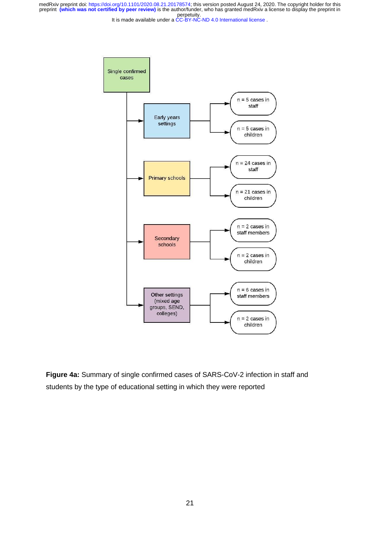It is made available under a [CC-BY-NC-ND 4.0 International license](http://creativecommons.org/licenses/by-nc-nd/4.0/) .



**Figure 4a:** Summary of single confirmed cases of SARS-CoV-2 infection in staff and students by the type of educational setting in which they were reported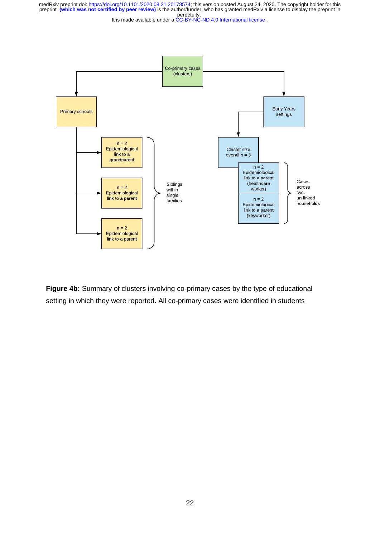It is made available under a [CC-BY-NC-ND 4.0 International license](http://creativecommons.org/licenses/by-nc-nd/4.0/) .



**Figure 4b:** Summary of clusters involving co-primary cases by the type of educational setting in which they were reported. All co-primary cases were identified in students